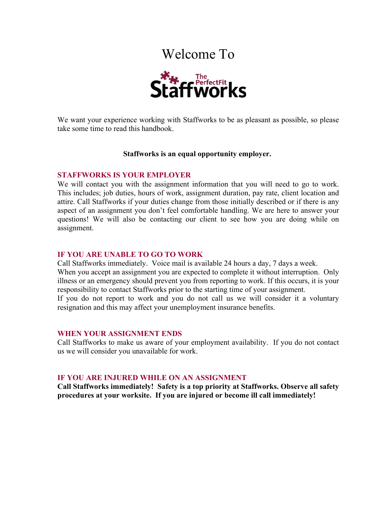# Welcome To



We want your experience working with Staffworks to be as pleasant as possible, so please take some time to read this handbook.

## **Staffworks is an equal opportunity employer.**

#### **STAFFWORKS IS YOUR EMPLOYER**

We will contact you with the assignment information that you will need to go to work. This includes; job duties, hours of work, assignment duration, pay rate, client location and attire. Call Staffworks if your duties change from those initially described or if there is any aspect of an assignment you don't feel comfortable handling. We are here to answer your questions! We will also be contacting our client to see how you are doing while on assignment.

#### **IF YOU ARE UNABLE TO GO TO WORK**

Call Staffworks immediately. Voice mail is available 24 hours a day, 7 days a week. When you accept an assignment you are expected to complete it without interruption. Only illness or an emergency should prevent you from reporting to work. If this occurs, it is your responsibility to contact Staffworks prior to the starting time of your assignment. If you do not report to work and you do not call us we will consider it a voluntary resignation and this may affect your unemployment insurance benefits.

#### **WHEN YOUR ASSIGNMENT ENDS**

Call Staffworks to make us aware of your employment availability. If you do not contact us we will consider you unavailable for work.

## **IF YOU ARE INJURED WHILE ON AN ASSIGNMENT**

**Call Staffworks immediately! Safety is a top priority at Staffworks. Observe all safety procedures at your worksite. If you are injured or become ill call immediately!**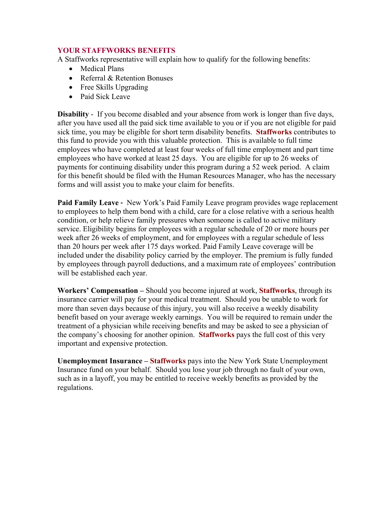# **YOUR STAFFWORKS BENEFITS**

A Staffworks representative will explain how to qualify for the following benefits:

- Medical Plans
- Referral & Retention Bonuses
- Free Skills Upgrading
- Paid Sick Leave

**Disability** - If you become disabled and your absence from work is longer than five days, after you have used all the paid sick time available to you or if you are not eligible for paid sick time, you may be eligible for short term disability benefits. **Staffworks** contributes to this fund to provide you with this valuable protection. This is available to full time employees who have completed at least four weeks of full time employment and part time employees who have worked at least 25 days. You are eligible for up to 26 weeks of payments for continuing disability under this program during a 52 week period. A claim for this benefit should be filed with the Human Resources Manager, who has the necessary forms and will assist you to make your claim for benefits.

**Paid Family Leave -** New York's Paid Family Leave program provides wage replacement to employees to help them bond with a child, care for a close relative with a serious health condition, or help relieve family pressures when someone is called to active military service. Eligibility begins for employees with a regular schedule of 20 or more hours per week after 26 weeks of employment, and for employees with a regular schedule of less than 20 hours per week after 175 days worked. Paid Family Leave coverage will be included under the disability policy carried by the employer. The premium is fully funded by employees through payroll deductions, and a maximum rate of employees' contribution will be established each year.

**Workers' Compensation –** Should you become injured at work, **Staffworks**, through its insurance carrier will pay for your medical treatment. Should you be unable to work for more than seven days because of this injury, you will also receive a weekly disability benefit based on your average weekly earnings. You will be required to remain under the treatment of a physician while receiving benefits and may be asked to see a physician of the company's choosing for another opinion. **Staffworks** pays the full cost of this very important and expensive protection.

**Unemployment Insurance – Staffworks** pays into the New York State Unemployment Insurance fund on your behalf. Should you lose your job through no fault of your own, such as in a layoff, you may be entitled to receive weekly benefits as provided by the regulations.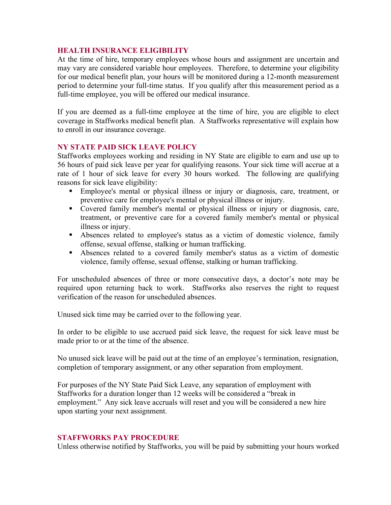## **HEALTH INSURANCE ELIGIBILITY**

At the time of hire, temporary employees whose hours and assignment are uncertain and may vary are considered variable hour employees. Therefore, to determine your eligibility for our medical benefit plan, your hours will be monitored during a 12-month measurement period to determine your full-time status. If you qualify after this measurement period as a full-time employee, you will be offered our medical insurance.

If you are deemed as a full-time employee at the time of hire, you are eligible to elect coverage in Staffworks medical benefit plan. A Staffworks representative will explain how to enroll in our insurance coverage.

# **NY STATE PAID SICK LEAVE POLICY**

Staffworks employees working and residing in NY State are eligible to earn and use up to 56 hours of paid sick leave per year for qualifying reasons. Your sick time will accrue at a rate of 1 hour of sick leave for every 30 hours worked. The following are qualifying reasons for sick leave eligibility:

- Employee's mental or physical illness or injury or diagnosis, care, treatment, or preventive care for employee's mental or physical illness or injury.
- Covered family member's mental or physical illness or injury or diagnosis, care, treatment, or preventive care for a covered family member's mental or physical illness or injury.
- § Absences related to employee's status as a victim of domestic violence, family offense, sexual offense, stalking or human trafficking.
- § Absences related to a covered family member's status as a victim of domestic violence, family offense, sexual offense, stalking or human trafficking.

For unscheduled absences of three or more consecutive days, a doctor's note may be required upon returning back to work. Staffworks also reserves the right to request verification of the reason for unscheduled absences.

Unused sick time may be carried over to the following year.

In order to be eligible to use accrued paid sick leave, the request for sick leave must be made prior to or at the time of the absence.

No unused sick leave will be paid out at the time of an employee's termination, resignation, completion of temporary assignment, or any other separation from employment.

For purposes of the NY State Paid Sick Leave, any separation of employment with Staffworks for a duration longer than 12 weeks will be considered a "break in employment." Any sick leave accruals will reset and you will be considered a new hire upon starting your next assignment.

## **STAFFWORKS PAY PROCEDURE**

Unless otherwise notified by Staffworks, you will be paid by submitting your hours worked